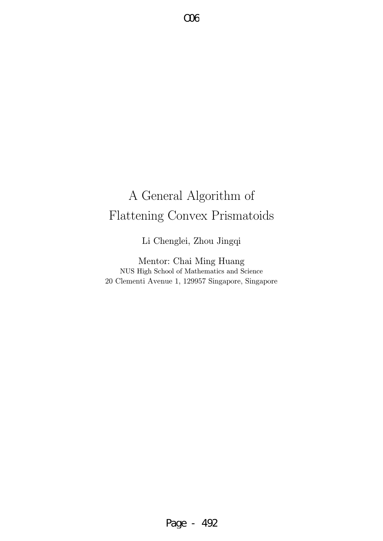# A General Algorithm of Flattening Convex Prismatoids

O06

Li Chenglei, Zhou Jingqi

Mentor: Chai Ming Huang NUS High School of Mathematics and Science 20 Clementi Avenue 1, 129957 Singapore, Singapore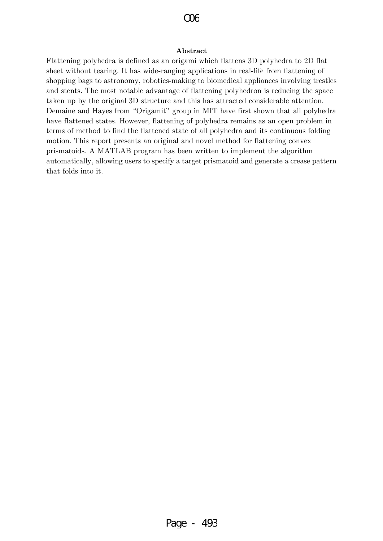#### Abstract

Flattening polyhedra is defined as an origami which flattens 3D polyhedra to 2D flat sheet without tearing. It has wide-ranging applications in real-life from flattening of shopping bags to astronomy, robotics-making to biomedical appliances involving trestles and stents. The most notable advantage of flattening polyhedron is reducing the space taken up by the original 3D structure and this has attracted considerable attention. Demaine and Hayes from "Origamit" group in MIT have first shown that all polyhedra have flattened states. However, flattening of polyhedra remains as an open problem in terms of method to find the flattened state of all polyhedra and its continuous folding motion. This report presents an original and novel method for flattening convex prismatoids. A MATLAB program has been written to implement the algorithm automatically, allowing users to specify a target prismatoid and generate a crease pattern that folds into it.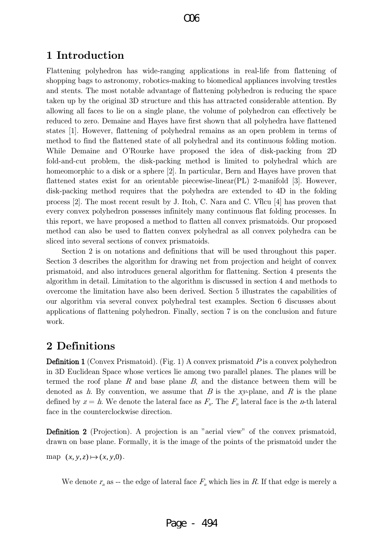### 1 Introduction

Flattening polyhedron has wide-ranging applications in real-life from flattening of shopping bags to astronomy, robotics-making to biomedical appliances involving trestles and stents. The most notable advantage of flattening polyhedron is reducing the space taken up by the original 3D structure and this has attracted considerable attention. By allowing all faces to lie on a single plane, the volume of polyhedron can effectively be reduced to zero. Demaine and Hayes have first shown that all polyhedra have flattened states [1]. However, flattening of polyhedral remains as an open problem in terms of method to find the flattened state of all polyhedral and its continuous folding motion. While Demaine and O'Rourke have proposed the idea of disk-packing from 2D fold-and-cut problem, the disk-packing method is limited to polyhedral which are homeomorphic to a disk or a sphere [2]. In particular, Bern and Hayes have proven that flattened states exist for an orientable piecewise-linear(PL) 2-manifold [3]. However, disk-packing method requires that the polyhedra are extended to 4D in the folding process [2]. The most recent result by J. Itoh, C. Nara and C. Vîlcu [4] has proven that every convex polyhedron possesses infinitely many continuous flat folding processes. In this report, we have proposed a method to flatten all convex prismatoids. Our proposed method can also be used to flatten convex polyhedral as all convex polyhedra can be sliced into several sections of convex prismatoids.

Section 2 is on notations and definitions that will be used throughout this paper. Section 3 describes the algorithm for drawing net from projection and height of convex prismatoid, and also introduces general algorithm for flattening. Section 4 presents the algorithm in detail. Limitation to the algorithm is discussed in section 4 and methods to overcome the limitation have also been derived. Section 5 illustrates the capabilities of our algorithm via several convex polyhedral test examples. Section 6 discusses about applications of flattening polyhedron. Finally, section 7 is on the conclusion and future work.

### 2 Definitions

**Definition 1** (Convex Prismatoid). (Fig. 1) A convex prismatoid  $P$  is a convex polyhedron in 3D Euclidean Space whose vertices lie among two parallel planes. The planes will be termed the roof plane  $R$  and base plane  $B$ , and the distance between them will be denoted as  $h$ . By convention, we assume that  $B$  is the xy-plane, and  $R$  is the plane defined by  $z = h$ . We denote the lateral face as  $F_{n}$ . The  $F_{n}$  lateral face is the *n*-th lateral face in the counterclockwise direction.

Definition 2 (Projection). A projection is an "aerial view" of the convex prismatoid, drawn on base plane. Formally, it is the image of the points of the prismatoid under the

map  $(x, y, z) \mapsto (x, y, 0)$ .

We denote  $r_n$  as -- the edge of lateral face  $F_n$  which lies in R. If that edge is merely a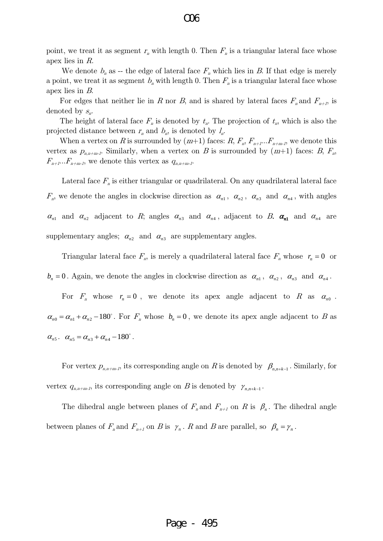point, we treat it as segment  $r_n$  with length 0. Then  $F_n$  is a triangular lateral face whose apex lies in R.

We denote  $b_n$  as -- the edge of lateral face  $F_n$  which lies in B. If that edge is merely a point, we treat it as segment  $b_n$  with length 0. Then  $F_n$  is a triangular lateral face whose apex lies in B.

For edges that neither lie in R nor B, and is shared by lateral faces  $F_n$  and  $F_{n+1}$ , is denoted by  $S_n$ .

The height of lateral face  $F_n$  is denoted by  $t_n$ . The projection of  $t_n$ , which is also the projected distance between  $r_n$  and  $b_n$ , is denoted by  $l_n$ .

When a vertex on R is surrounded by  $(m+1)$  faces:  $R, F_n, F_{n+1} \dots F_{n+m-l}$ , we denote this vertex as  $p_{n,n+m-l}$ . Similarly, when a vertex on B is surrounded by  $(m+1)$  faces: B,  $F_n$ ,  $F_{n+1}...F_{n+m-1}$ , we denote this vertex as  $q_{n,n+m-1}$ .

Lateral face  $F_{n}$  is either triangular or quadrilateral. On any quadrilateral lateral face  $F_n$ , we denote the angles in clockwise direction as  $\alpha_{n1}$ ,  $\alpha_{n2}$ ,  $\alpha_{n3}$  and  $\alpha_{n4}$ , with angles  $\alpha_{n1}$  and  $\alpha_{n2}$  adjacent to R; angles  $\alpha_{n3}$  and  $\alpha_{n4}$ , adjacent to B.  $\alpha_{n1}$  and  $\alpha_{n4}$  are supplementary angles;  $\alpha_{n2}$  and  $\alpha_{n3}$  are supplementary angles.

Triangular lateral face  $F_n$ , is merely a quadrilateral lateral face  $F_n$  whose  $r_n = 0$  or  $b_n = 0$ . Again, we denote the angles in clockwise direction as  $\alpha_{n1}$ ,  $\alpha_{n2}$ ,  $\alpha_{n3}$  and  $\alpha_{n4}$ .

For  $F_n$  whose  $r_n = 0$ , we denote its apex angle adjacent to R as  $\alpha_{n0}$ .  $\alpha_{n0} = \alpha_{n1} + \alpha_{n2} - 180^{\circ}$ . For  $F_n$  whose  $b_n = 0$ , we denote its apex angle adjacent to B as  $\alpha_{n5}$ .  $\alpha_{n5} = \alpha_{n3} + \alpha_{n4} - 180^{\circ}$ .

For vertex  $p_{n,n+m-1}$ , its corresponding angle on R is denoted by  $\beta_{n,n+k-1}$ . Similarly, for vertex  $q_{n,n+m-l}$ , its corresponding angle on B is denoted by  $\gamma_{n,n+k-l}$ .

The dihedral angle between planes of  $F_n$  and  $F_{n+1}$  on R is  $\beta_n$ . The dihedral angle between planes of  $F_n$  and  $F_{n+1}$  on B is  $\gamma_n$ . R and B are parallel, so  $\beta_n = \gamma_n$ .

Page - 495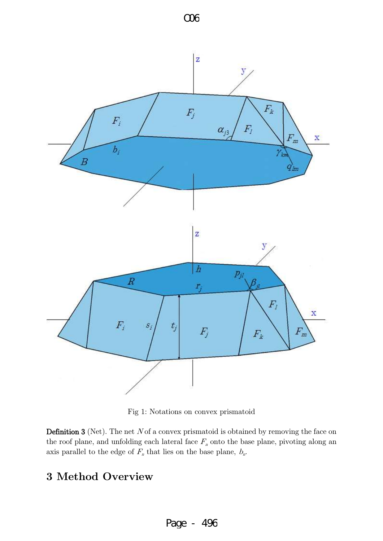

Fig 1: Notations on convex prismatoid

**Definition 3** (Net). The net  $N$  of a convex prismatoid is obtained by removing the face on the roof plane, and unfolding each lateral face  $F_n$  onto the base plane, pivoting along an axis parallel to the edge of  $F_n$  that lies on the base plane,  $b_n$ .

# 3 Method Overview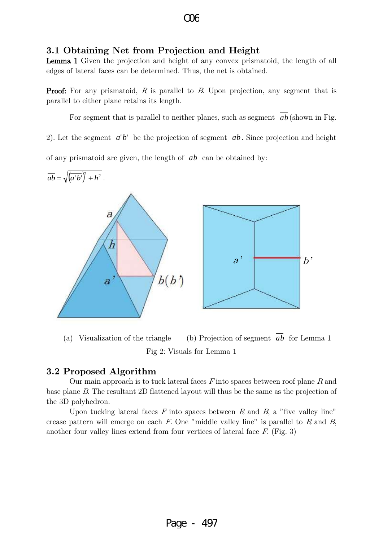#### 3.1 Obtaining Net from Projection and Height

Lemma 1 Given the projection and height of any convex prismatoid, the length of all edges of lateral faces can be determined. Thus, the net is obtained.

**Proof:** For any prismatoid, R is parallel to B. Upon projection, any segment that is parallel to either plane retains its length.

For segment that is parallel to neither planes, such as segment  $ab$  (shown in Fig. 2). Let the segment *a*'*b*' be the projection of segment *ab* . Since projection and height of any prismatoid are given, the length of *ab* can be obtained by:



(a) Visualization of the triangle *ab* for Lemma 1 Fig 2: Visuals for Lemma 1

#### 3.2 Proposed Algorithm

Our main approach is to tuck lateral faces  $F$  into spaces between roof plane  $R$  and base plane B. The resultant 2D flattened layout will thus be the same as the projection of the 3D polyhedron.

Upon tucking lateral faces  $F$  into spaces between  $R$  and  $B$ , a "five valley line" crease pattern will emerge on each  $F$ . One "middle valley line" is parallel to  $R$  and  $B$ , another four valley lines extend from four vertices of lateral face  $F$ . (Fig. 3)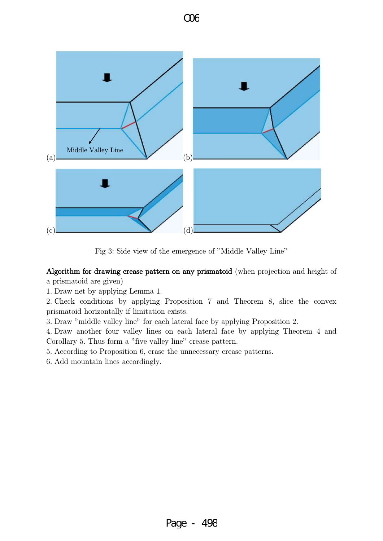



Fig 3: Side view of the emergence of "Middle Valley Line"

Algorithm for drawing crease pattern on any prismatoid (when projection and height of

a prismatoid are given)

1. Draw net by applying Lemma 1.

2. Check conditions by applying Proposition 7 and Theorem 8, slice the convex prismatoid horizontally if limitation exists.

3. Draw "middle valley line" for each lateral face by applying Proposition 2.

4. Draw another four valley lines on each lateral face by applying Theorem 4 and Corollary 5. Thus form a "five valley line" crease pattern.

5. According to Proposition 6, erase the unnecessary crease patterns.

6. Add mountain lines accordingly.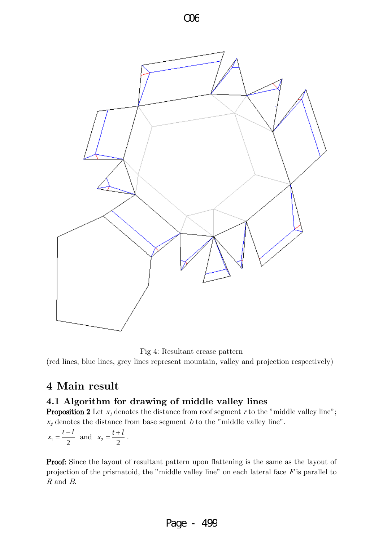

Fig 4: Resultant crease pattern

(red lines, blue lines, grey lines represent mountain, valley and projection respectively)

# 4 Main result

#### 4.1 Algorithm for drawing of middle valley lines

**Proposition 2** Let  $x_i$  denotes the distance from roof segment r to the "middle valley line";  $x_2$  denotes the distance from base segment b to the "middle valley line".

$$
x_1 = \frac{t-l}{2}
$$
 and  $x_2 = \frac{t+l}{2}$ .

Proof: Since the layout of resultant pattern upon flattening is the same as the layout of projection of the prismatoid, the "middle valley line" on each lateral face  $F$  is parallel to R and B.

### Page - 499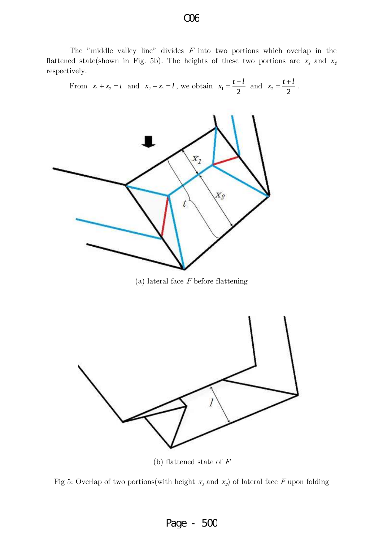The "middle valley line" divides  $F$  into two portions which overlap in the flattened state(shown in Fig. 5b). The heights of these two portions are  $x_1$  and  $x_2$ respectively.

From 
$$
x_1 + x_2 = t
$$
 and  $x_2 - x_1 = l$ , we obtain  $x_1 = \frac{t - l}{2}$  and  $x_2 = \frac{t + l}{2}$ .



(a) lateral face  $F$  before flattening



(b) flattened state of  $F$ 



# O06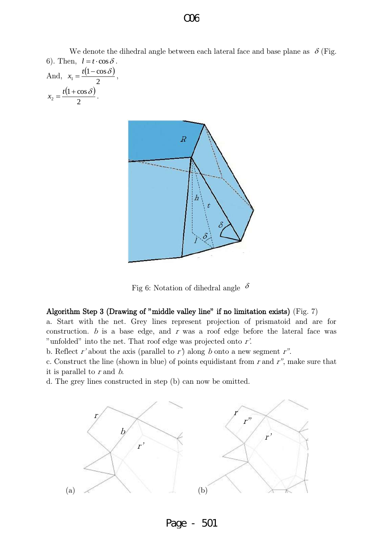We denote the dihedral angle between each lateral face and base plane as  $\delta$  (Fig. 6). Then,  $l = t \cdot \cos \delta$ .

And, 
$$
x_1 = \frac{t(1-\cos\delta)}{2}
$$
,  
 $x_2 = \frac{t(1+\cos\delta)}{2}$ .



Fig 6: Notation of dihedral angle  $\delta$ 

#### Algorithm Step 3 (Drawing of "middle valley line" if no limitation exists) (Fig. 7)

a. Start with the net. Grey lines represent projection of prismatoid and are for construction.  $b$  is a base edge, and  $r$  was a roof edge before the lateral face was "unfolded" into the net. That roof edge was projected onto  $r'$ .

b. Reflect r' about the axis (parallel to r) along b onto a new segment r".

c. Construct the line (shown in blue) of points equidistant from  $r$  and  $r$ ", make sure that

it is parallel to  $r$  and  $b$ .

d. The grey lines constructed in step (b) can now be omitted.



Page - 501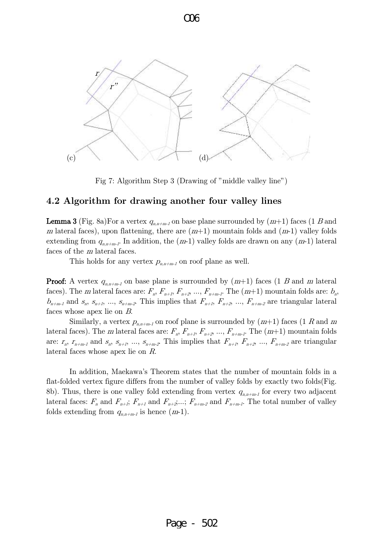

Fig 7: Algorithm Step 3 (Drawing of "middle valley line")

#### 4.2 Algorithm for drawing another four valley lines

**Lemma 3** (Fig. 8a)For a vertex  $q_{n,n+m-l}$  on base plane surrounded by  $(m+1)$  faces  $(1 B and$ m lateral faces), upon flattening, there are  $(m+1)$  mountain folds and  $(m-1)$  valley folds extending from  $q_{n,n+m-l}$ . In addition, the  $(m-1)$  valley folds are drawn on any  $(m-1)$  lateral faces of the m lateral faces.

This holds for any vertex  $p_{n,n+m-1}$  on roof plane as well.

**Proof:** A vertex  $q_{n,n+m-1}$  on base plane is surrounded by  $(m+1)$  faces  $(1 \ B \text{ and } m \text{ lateral})$ faces). The m lateral faces are:  $F_n$ ,  $F_{n+1}$ ,  $F_{n+2}$ , ...,  $F_{n+m-1}$ . The  $(m+1)$  mountain folds are:  $b_n$ ,  $b_{n+m-1}$  and  $s_n$ ,  $s_{n+1}$ , ...,  $s_{n+m-2}$ . This implies that  $F_{n+1}$ ,  $F_{n+2}$ , ...,  $F_{n+m-2}$  are triangular lateral faces whose apex lie on B.

Similarly, a vertex  $p_{n,n+m-1}$  on roof plane is surrounded by  $(m+1)$  faces  $(1 R$  and m lateral faces). The m lateral faces are:  $F_n$ ,  $F_{n+1}$ ,  $F_{n+2}$ , ...,  $F_{n+m-1}$ . The  $(m+1)$  mountain folds are:  $r_n$ ,  $r_{n+m-1}$  and  $s_n$ ,  $s_{n+1}$ , ...,  $s_{n+m-2}$ . This implies that  $F_{n+1}$ ,  $F_{n+2}$ , ...,  $F_{n+m-2}$  are triangular lateral faces whose apex lie on R.

 In addition, [Maekawa's Theorem](http://en.wikipedia.org/w/index.php?title=Maekawa) states that the number of [mountain folds](http://en.wikipedia.org/wiki/Mountain_fold) in a flat-folded vertex figure differs from the number of [valley folds](http://en.wikipedia.org/wiki/Valley_fold) by exactly two folds(Fig. 8b). Thus, there is one valley fold extending from vertex  $q_{n,n+m-1}$  for every two adjacent lateral faces:  $F_n$  and  $F_{n+1}$ ;  $F_{n+1}$  and  $F_{n+2}$ ;...;  $F_{n+m-2}$  and  $F_{n+m-1}$ . The total number of valley folds extending from  $q_{n,n+m-1}$  is hence  $(m-1)$ .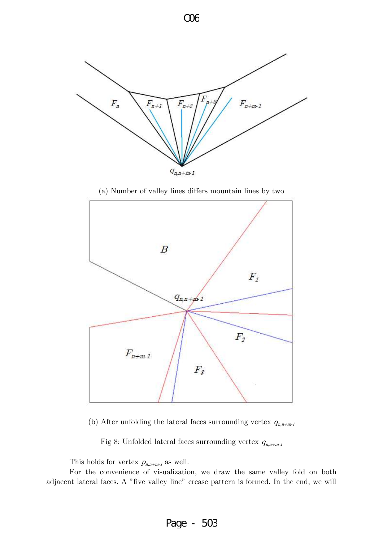

(a) Number of valley lines differs mountain lines by two



(b) After unfolding the lateral faces surrounding vertex  $q_{n,n+m-1}$ 

Fig 8: Unfolded lateral faces surrounding vertex  $q_{n,n+m-1}$ 

This holds for vertex  $p_{n,n+m-1}$  as well.

 For the convenience of visualization, we draw the same valley fold on both adjacent lateral faces. A "five valley line" crease pattern is formed. In the end, we will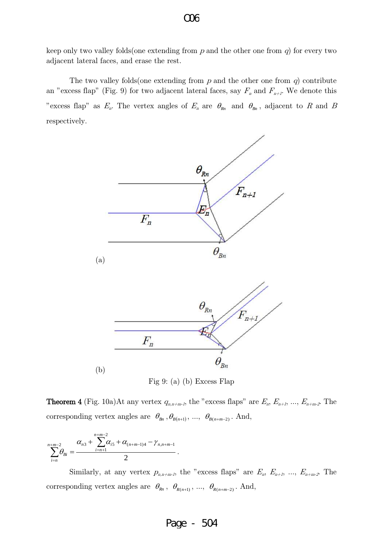keep only two valley folds (one extending from  $p$  and the other one from  $q$ ) for every two adjacent lateral faces, and erase the rest.

The two valley folds (one extending from  $p$  and the other one from  $q$ ) contribute an "excess flap" (Fig. 9) for two adjacent lateral faces, say  $F_n$  and  $F_{n+1}$ . We denote this "excess flap" as  $E_n$ . The vertex angles of  $E_n$  are  $\theta_{R_n}$  and  $\theta_{B_n}$ , adjacent to R and B respectively.





**Theorem 4** (Fig. 10a)At any vertex  $q_{n,n+m-1}$ , the "excess flaps" are  $E_n$ ,  $E_{n+1}$ , ...,  $E_{n+m-2}$ . The corresponding vertex angles are  $\theta_{Bn}$ ,  $\theta_{B(n+1)}$ , ...,  $\theta_{B(n+m-2)}$ . And,

$$
\sum_{i=n}^{n+m-2} \theta_{Bi} = \frac{\alpha_{n3} + \sum_{i=n+1}^{n+m-2} \alpha_{i5} + \alpha_{(n+m-1)4} - \gamma_{n,n+m-1}}{2}.
$$

Similarly, at any vertex  $p_{n,n+m-1}$ , the "excess flaps" are  $E_n$ ,  $E_{n+1}$ , ...,  $E_{n+m-2}$ . The corresponding vertex angles are  $\theta_{kn}$ ,  $\theta_{R(n+1)}$ , ...,  $\theta_{R(n+m-2)}$ . And,

#### Page - 504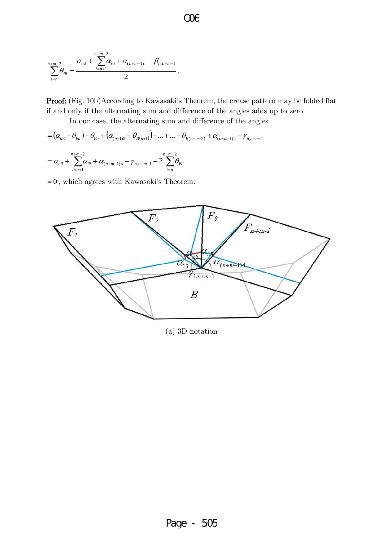$$
\sum_{i=n}^{n+m-2} \theta_{Ri} = \frac{\alpha_{n2} + \sum_{i=n+1}^{n+m-2} \alpha_{i0} + \alpha_{(n+m-1)1} - \beta_{n,n+m-1}}{2}.
$$

Proof: (Fig. 10b)According to Kawasaki's Theorem, the crease pattern may be folded flat if and only if the alternating sum and difference of the angles adds up to zero.

In our case, the alternating sum and difference of the angles

-

*i n*

 $= (\alpha_{n3} - \theta_{Bn}) - \theta_{Bn} + (\alpha_{(n+1)5} - \theta_{B(n+1)}) - ... + ... - \theta_{B(n+m-2)} + \alpha_{(n+m-1)4} - \gamma_{n,n+m-1}$  $\sum_{i=1}^{n+m-2} \alpha_{i5} + \alpha_{(n+m-1)4} - \gamma_{n,n+m-1} - 2 \sum_{i=1}^{n+m-1}$  $+m-1)4$  /  $n,n+m +m = \alpha_{n3} + \sum \alpha_{i5} + \alpha_{(n+m-1)4} - \gamma_{n(n+m-1)} -$ 2  $(n+m-1)4$  /  $n,n+m-1$ 2  $\alpha_3 + \sum \alpha_{i5} + \alpha_{(n+m-1)4} - \gamma_{n,n+m-1} - 2$ *n m*  $(n+m-1)4$  /  $n,n+m-1$   $\sim$   $\angle$   $\cup$   $\Omega$ *n m*  $\alpha_{n3}^{} + \sum \alpha_{i5}^{} + \alpha_{(n+m-1)4}^{} - \gamma_{n,n+m-1}^{} - 2\sum \theta_{i}^{}$ 

 $= 0$ , which agrees with Kawasaki's Theorem.

 $=n+$ 

*i n*

1



(a) 3D notation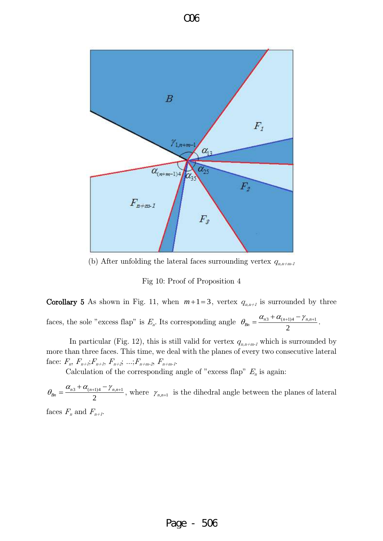

(b) After unfolding the lateral faces surrounding vertex  $q_{n,n+m-1}$ 

Fig 10: Proof of Proposition 4

Corollary 5 As shown in Fig. 11, when  $m+1=3$ , vertex  $q_{n,n+1}$  is surrounded by three

faces, the sole "excess flap" is  $E_n$ . Its corresponding angle 2  $=\frac{\alpha_{n3}+\alpha_{(n+1)4}-\gamma_{n,n+1}}{2}$ *Bn*  $\theta_{Bn} = \frac{\alpha_{n3} + \alpha_{(n+1)4} - \gamma_{n,n+1}}{2}.$ 

In particular (Fig. 12), this is still valid for vertex  $q_{n,n+m-1}$  which is surrounded by more than three faces. This time, we deal with the planes of every two consecutive lateral face:  $F_n$ ,  $F_{n+1}$ ;  $F_{n+2}$ ,  $F_{n+2}$ ; ...;  $F_{n+m-2}$ ,  $F_{n+m-1}$ .

Calculation of the corresponding angle of "excess flap"  $E_n$  is again:

2  $=\frac{\alpha_{n3}+\alpha_{(n+1)4}-\gamma_{n,n+1}}{2}$ *Bn*  $\theta_{B_n} = \frac{\alpha_{n3} + \alpha_{(n+1)4} - \gamma_{n,n+1}}{2}$ , where  $\gamma_{n,n+1}$  is the dihedral angle between the planes of lateral faces  $F_n$  and  $F_{n+1}$ .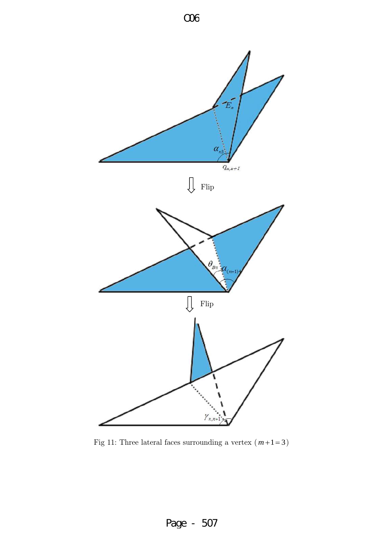

Fig 11: Three lateral faces surrounding a vertex  $(m+1=3)$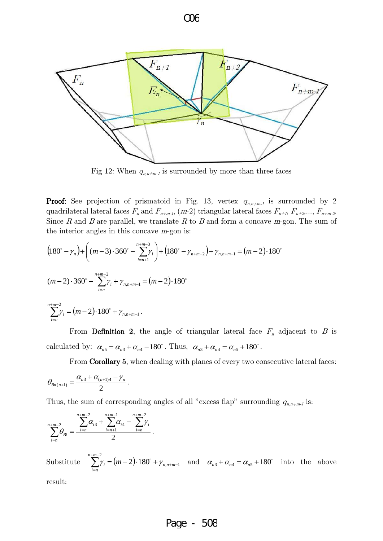

Fig 12: When  $q_{n,n+m-1}$  is surrounded by more than three faces

**Proof:** See projection of prismatoid in Fig. 13, vertex  $q_{n,n+m-1}$  is surrounded by 2 quadrilateral lateral faces  $F_n$  and  $F_{n+m-l}$ , (m-2) triangular lateral faces  $F_{n+l}$ ,  $F_{n+2},..., F_{n+m-2}$ Since R and B are parallel, we translate R to B and form a concave  $m$ -gon. The sum of the interior angles in this concave m-gon is:

$$
(180^\circ - \gamma_n) + \left( (m-3) \cdot 360^\circ - \sum_{i=n+1}^{n+m-3} \gamma_i \right) + (180^\circ - \gamma_{n+m-2}) + \gamma_{n,n+m-1} = (m-2) \cdot 180^\circ
$$
  

$$
(m-2) \cdot 360^\circ - \sum_{i=n}^{n+m-2} \gamma_i + \gamma_{n,n+m-1} = (m-2) \cdot 180^\circ
$$
  

$$
\sum_{i=n}^{n+m-2} \gamma_i = (m-2) \cdot 180^\circ + \gamma_{n,n+m-1}.
$$

From Definition 2, the angle of triangular lateral face  $F_n$  adjacent to B is calculated by:  $\alpha_{n5} = \alpha_{n3} + \alpha_{n4} - 180^\circ$ . Thus,  $\alpha_{n3} + \alpha_{n4} = \alpha_{n5} + 180^\circ$ .

From Corollary 5, when dealing with planes of every two consecutive lateral faces:

$$
\theta_{Bn(n+1)} = \frac{\alpha_{n3} + \alpha_{(n+1)4} - \gamma_n}{2}.
$$

Thus, the sum of corresponding angles of all "excess flap" surrounding  $q_{n,n+m-1}$  is:

$$
\sum_{i=n}^{n+m-2} \theta_{Bi} = \frac{\sum_{i=n}^{n+m-2} \alpha_{i3} + \sum_{i=n+1}^{n+m-1} \alpha_{i4} - \sum_{i=n}^{n+m-2} \gamma_i}{2}.
$$

Substitute  $\sum \gamma_i = (m-2) \cdot 180^\circ + \gamma_{n,n+m-1}$ 2  $2) \cdot 180^{\circ} + \gamma_{n,n+m-1}$  $+m \sum_{i=n}^{n+m-2} \gamma_i = (m-2) \cdot 180^\circ + \gamma_{n,n+m}$ *i n*  $\gamma_i = (m-2) \cdot 180^\circ + \gamma_{n,n+m-1}$  and  $\alpha_{n3} + \alpha_{n4} = \alpha_{n5} + 180^\circ$  into the above

result:

#### Page - 508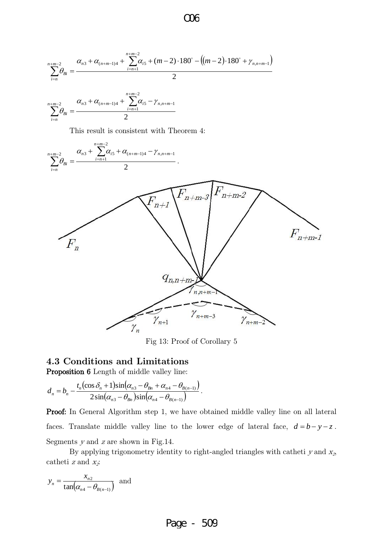$$
\sum_{i=n}^{n+m-2} \theta_{Bi} = \frac{\alpha_{n3} + \alpha_{(n+m-1)4} + \sum_{i=n+1}^{n+m-2} \alpha_{i5} + (m-2) \cdot 180^\circ - ((m-2) \cdot 180^\circ + \gamma_{n,n+m-1})}{2}
$$
\n
$$
\sum_{i=n}^{n+m-2} \theta_{Bi} = \frac{\alpha_{n3} + \alpha_{(n+m-1)4} + \sum_{i=n+1}^{n+m-2} \alpha_{i5} - \gamma_{n,n+m-1}}{2}
$$
\nThis result is consistent with Theorem 4:\n
$$
\sum_{i=n}^{n+m-2} \theta_{Bi} = \frac{\alpha_{n3} + \sum_{i=n+1}^{n+m-2} \alpha_{i5} + \alpha_{(n+m-1)4} - \gamma_{n,n+m-1}}{2}
$$



Fig 13: Proof of Corollary 5

#### 4.3 Conditions and Limitations

Proposition 6 Length of middle valley line:

$$
d_n = b_n - \frac{t_n(\cos\delta_n + 1)\sin(\alpha_{n3} - \theta_{Bn} + \alpha_{n4} - \theta_{B(n-1)})}{2\sin(\alpha_{n3} - \theta_{Bn})\sin(\alpha_{n4} - \theta_{B(n-1)})}.
$$

Proof: In General Algorithm step 1, we have obtained middle valley line on all lateral faces. Translate middle valley line to the lower edge of lateral face,  $d = b - y - z$ . Segments  $y$  and  $z$  are shown in Fig.14.

By applying trigonometry identity to right-angled triangles with catheti y and  $x_2$ catheti z and  $x_i$ :

$$
y_n = \frac{x_{n2}}{\tan(\alpha_{n4} - \theta_{B(n-1)})}
$$
 and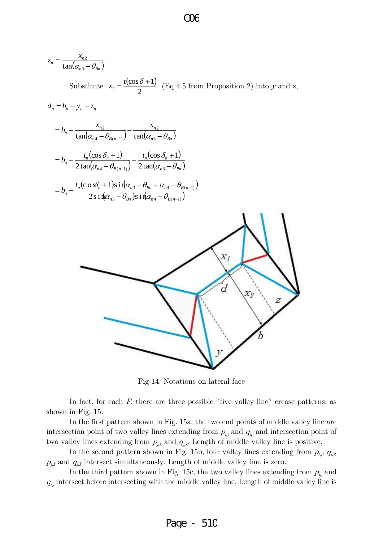$$
z_{n} = \frac{x_{n2}}{\tan(\alpha_{n3} - \theta_{Bn})}
$$
  
Substitute  $x_{2} = \frac{t(\cos \delta + 1)}{2}$  (Eq 4.5 from Proposition 2) into y and z,  

$$
d_{n} = b_{n} - y_{n} - z_{n}
$$

$$
= b_{n} - \frac{x_{n2}}{\tan(\alpha_{n4} - \theta_{B(n-1)})} - \frac{x_{n2}}{\tan(\alpha_{n3} - \theta_{Bn})}
$$

$$
= b_{n} - \frac{t_{n}(\cos \delta_{n} + 1)}{2\tan(\alpha_{n4} - \theta_{B(n-1)})} - \frac{t_{n}(\cos \delta_{n} + 1)}{2\tan(\alpha_{n3} - \theta_{Bn})}
$$

$$
= b_{n} - \frac{t_{n}(\cos \delta_{n} + 1)\sin(\alpha_{n3} - \theta_{Bn} + \alpha_{n4} - \theta_{B(n-1)})}{2\sin(\alpha_{n3} - \theta_{Bn})\sin(\alpha_{n4} - \theta_{B(n-1)})}
$$



Fig 14: Notations on lateral face

In fact, for each  $F$ , there are three possible "five valley line" crease patterns, as shown in Fig. 15.

 In the first pattern shown in Fig. 15a, the two end points of middle valley line are intersection point of two valley lines extending from  $p_{i,j}$  and  $q_{i,j}$  and intersection point of two valley lines extending from  $p_{j,k}$  and  $q_{j,k}$ . Length of middle valley line is positive.

In the second pattern shown in Fig. 15b, four valley lines extending from  $p_{i,j}$ ,  $q_{i,j}$ ,  $p_{j,k}$  and  $q_{j,k}$  intersect simultaneously. Length of middle valley line is zero.

In the third pattern shown in Fig. 15c, the two valley lines extending from  $p_{i,j}$  and  $q_{i,j}$  intersect before intersecting with the middle valley line. Length of middle valley line is

#### O06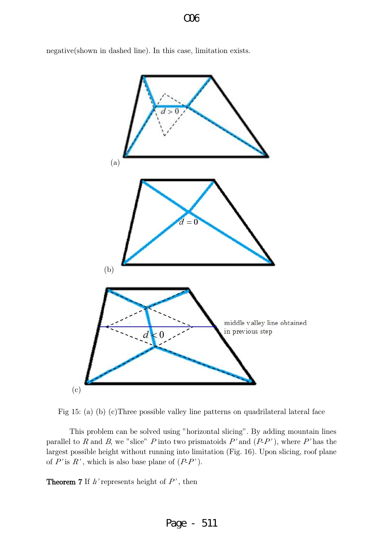negative(shown in dashed line). In this case, limitation exists.





 This problem can be solved using "horizontal slicing". By adding mountain lines parallel to R and B, we "slice" P into two prismatoids  $P'$  and  $(P-P')$ , where P' has the largest possible height without running into limitation (Fig. 16). Upon slicing, roof plane of  $P'$  is  $R'$ , which is also base plane of  $(P-P')$ .

**Theorem 7** If  $h$ ' represents height of  $P$ ', then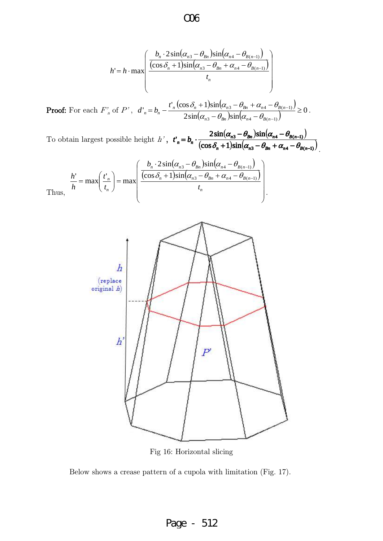$$
h' = h \cdot \max \left( \frac{\frac{b_n \cdot 2 \sin(\alpha_{n3} - \theta_{Bn}) \sin(\alpha_{n4} - \theta_{B(n-1)})}{(\cos \delta_n + 1) \sin(\alpha_{n3} - \theta_{Bn} + \alpha_{n4} - \theta_{B(n-1)})}}{t_n} \right)
$$

**Proof:** For each  $F'_n$  of  $P'$ ,  $\left(\cos\delta_n+1\right)\sin\left(\alpha_{n3}-\theta_{8n}+\alpha_{n4}-\theta_{8(n-1)}\right)$  $(\alpha_{n3} - \theta_{Bn})\sin(\alpha_{n4} - \theta_{B(n-1)})$ 0  $2\sin(\alpha_{n3}-\theta_{Rn})\sin$  $\sum_{n=1}^{n} b_{n} - \frac{t^{n}_{n} (\cos \delta_{n} + 1) \sin(\alpha_{n3} - \theta_{Bn} + \alpha_{n4} - \theta_{Bn})}{2 \sin(\alpha_{n3} - \theta_{Bn}) \sin(\alpha_{n4} - \theta_{B(n-1)})}$  $\frac{3 - \nu_{Bn} + \alpha_{n4} - \nu_{B(n-1)}}{2} \ge$  $-\theta_{\scriptscriptstyle Rn}$ )sin( $\alpha_{\scriptscriptstyle n4}$  –  $+1\sin(\alpha_{n3}-\theta_{Rn}+\alpha_{n4} = b_n -$ i,  $v_{Bn} - v_{Bn}$  *p*sin( $u_{n4} - v_{B(n)}$  $n_{n}$   $(\cos \theta_{n} + 1)$  $\sin(\theta_{n3} - \theta_{Bn} + \theta_{n4} - \theta_{B(n)})$  $n - U_n$ *t*  $d'_n = b_n - \frac{b_n \cos \theta_n + 1}{2 \sin(\alpha_n - \theta_n) \sin(\alpha_n - \theta_n)}$  $\frac{\delta_n+1\sin(\alpha_{n3}-\theta_{Bn}+\alpha_{n4}-\theta_{B(n-1)})}{\left|\frac{\delta_n}{\delta_n}\right| \left|\frac{\delta_n}{\delta_n}-\theta_{B(n-1)}\right|}\geq 0.$ 

To obtain largest possible height h',  $t_n = b_n \cdot \frac{2\sin(\alpha_{n3} - \theta_{Bn})\sin(\alpha_{n4} - \theta_{B(n-1)})}{\cos(\alpha_{n3} - \theta_{B(n-1)})}$  $(\cos \delta_n + 1) \sin(\alpha_{n3} - \theta_{Bn} + \alpha_{n4} - \theta_{B(n-1)})$  $3 - \nu_{Bn}$  /  $\sum_{n=1}^{\infty}$  (  $\alpha_{n+1}$  /  $\alpha_{B(n-1)}$  /  $\cos \delta_n + 1 \sin(\alpha_{n3} - \theta_{Bn} + \alpha_{n4} - \theta_{B(n-1)})$  $\mathbf{C}_n = b_n \cdot \frac{2\sin(\alpha_{n3} - \theta_{Bn})\sin(\alpha_{n4} - \theta_{B(n-1)})}{(\cos\delta_n + 1)\sin(\alpha_{n3} - \theta_{Bn} + \alpha_{n4} - \theta_{B(n-1)})}$  $-1$ )  $\sqrt{ }$  $+1\sin(\alpha_{n3}-\theta_{n}+\alpha_{n4}-\theta_{n(n-1)})$  $-\theta_{B_n}$ )sin( $\alpha_{n4}$   $-\theta_{B(n-1)}$ )  $= b_n \cdot \frac{2 \sin(\omega_{n3} - \omega_{Bn}) \sin(\omega_{n4})}{\sqrt{2 \cos(\omega_{n4} - \omega_{Bn}) \sin(\omega_{n4})}}$  $V_n$  + 1/8 $\mu$ ( $U_{n3}$  –  $U_{Bn}$  +  $U_{n4}$  –  $U_{B(n-1)}$ )  $t'_n = b_n \cdot \frac{2 \sin(\alpha_{n3} - \theta_{Bn}) \sin(\alpha_{n4} - \theta_{B(n-1)})}{(\cos \delta_n + 1) \sin(\alpha_{n3} - \theta_{Bn} + \alpha_{n4} - \theta_{B(n-1)})}$ 

.

$$
\frac{h'}{h} = \max\left(\frac{t'_n}{t_n}\right) = \max\left(\frac{\frac{b_n \cdot 2\sin(\alpha_{n3} - \theta_{Bn})\sin(\alpha_{n4} - \theta_{B(n-1)})}{(\cos\delta_n + 1)\sin(\alpha_{n3} - \theta_{Bn} + \alpha_{n4} - \theta_{B(n-1)})}}{t_n}\right).
$$



Fig 16: Horizontal slicing

Below shows a crease pattern of a cupola with limitation (Fig. 17).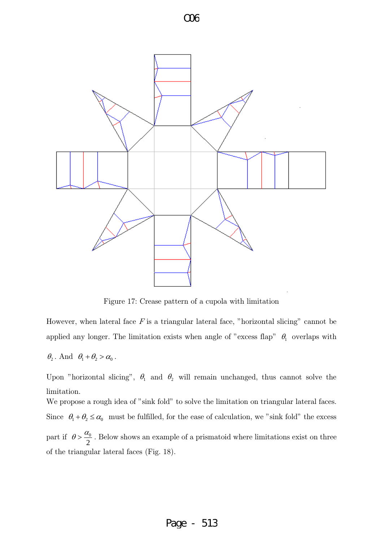



Figure 17: Crease pattern of a cupola with limitation

However, when lateral face  $F$  is a triangular lateral face, "horizontal slicing" cannot be applied any longer. The limitation exists when angle of "excess flap"  $\theta_1$  overlaps with

$$
\theta_2
$$
. And  $\theta_1 + \theta_2 > \alpha_0$ .

Upon "horizontal slicing",  $\theta_1$  and  $\theta_2$  will remain unchanged, thus cannot solve the limitation.

We propose a rough idea of "sink fold" to solve the limitation on triangular lateral faces. Since  $\theta_1 + \theta_2 \le \alpha_0$  must be fulfilled, for the ease of calculation, we "sink fold" the excess part if 2  $\theta > \frac{\alpha_0}{2}$ . Below shows an example of a prismatoid where limitations exist on three of the triangular lateral faces (Fig. 18).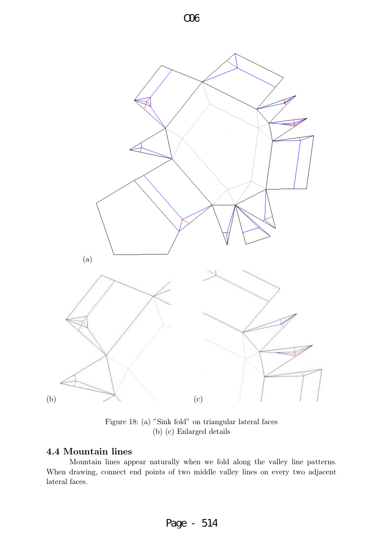



Figure 18: (a) "Sink fold" on triangular lateral faces (b) (c) Enlarged details

#### 4.4 Mountain lines

 Mountain lines appear naturally when we fold along the valley line patterns. When drawing, connect end points of two middle valley lines on every two adjacent lateral faces.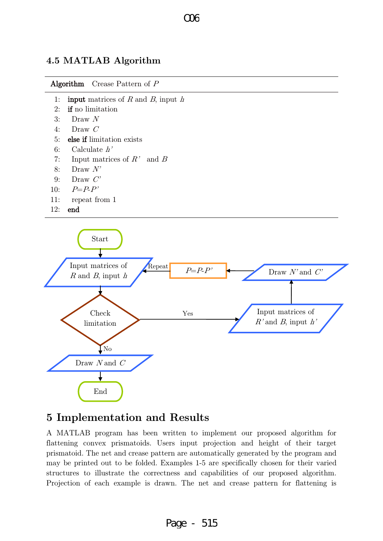#### $\Omega$

#### 4.5 MATLAB Algorithm





# 5 Implementation and Results

A MATLAB program has been written to implement our proposed algorithm for flattening convex prismatoids. Users input projection and height of their target prismatoid. The net and crease pattern are automatically generated by the program and may be printed out to be folded. Examples 1-5 are specifically chosen for their varied structures to illustrate the correctness and capabilities of our proposed algorithm. Projection of each example is drawn. The net and crease pattern for flattening is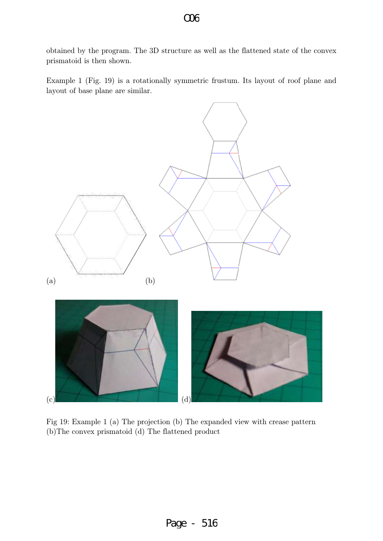obtained by the program. The 3D structure as well as the flattened state of the convex prismatoid is then shown.

Example 1 (Fig. 19) is a rotationally symmetric frustum. Its layout of roof plane and layout of base plane are similar.



Fig 19: Example 1 (a) The projection (b) The expanded view with crease pattern (b)The convex prismatoid (d) The flattened product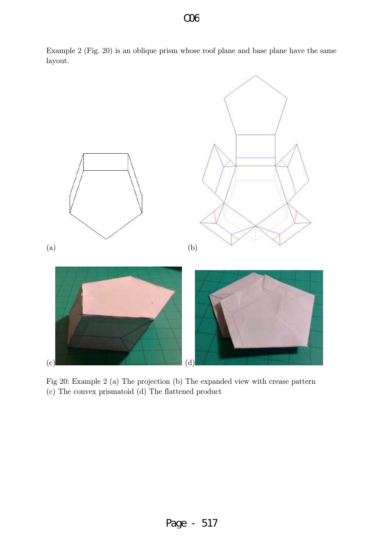

Example 2 (Fig. 20) is an oblique prism whose roof plane and base plane have the same layout.

Fig 20: Example 2 (a) The projection (b) The expanded view with crease pattern (c) The convex prismatoid (d) The flattened product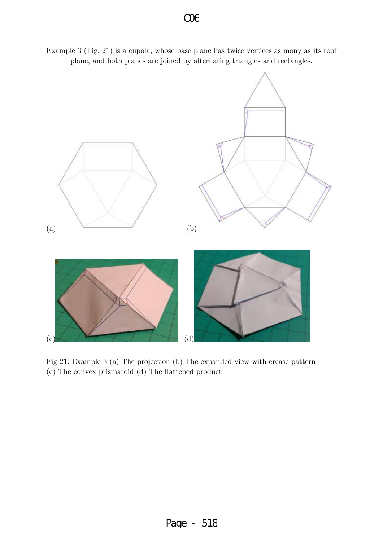Example 3 (Fig. 21) is a cupola, whose base plane has twice vertices as many as its roof plane, and both planes are joined by alternating triangles and rectangles.



Fig 21: Example 3 (a) The projection (b) The expanded view with crease pattern (c) The convex prismatoid (d) The flattened product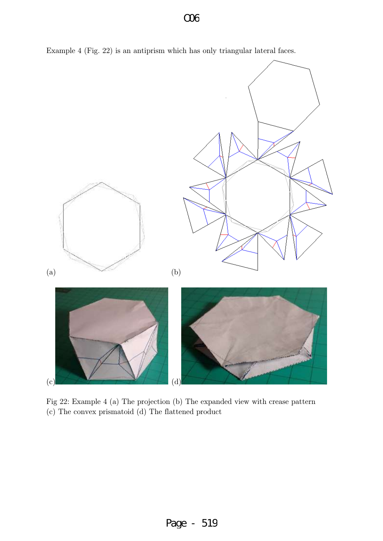



Fig 22: Example 4 (a) The projection (b) The expanded view with crease pattern (c) The convex prismatoid (d) The flattened product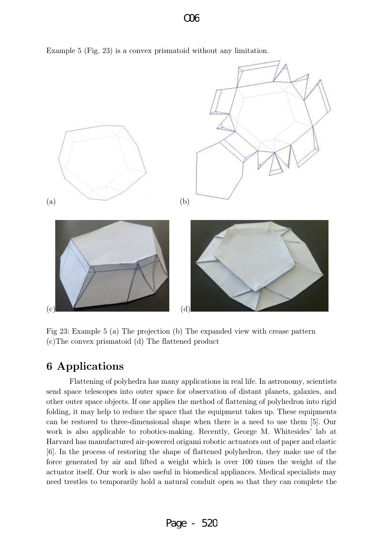

Example 5 (Fig. 23) is a convex prismatoid without any limitation.

Fig 23: Example 5 (a) The projection (b) The expanded view with crease pattern (c)The convex prismatoid (d) The flattened product

# 6 Applications

 Flattening of polyhedra has many applications in real life. In astronomy, scientists send space telescopes into [outer space](http://en.wikipedia.org/wiki/Outer_space) for observation of distant planets, galaxies, and other outer space objects. If one applies the method of flattening of polyhedron into rigid folding, it may help to reduce the space that the equipment takes up. These equipments can be restored to three-dimensional shape when there is a need to use them [5]. Our work is also applicable to robotics-making. Recently, [George M. Whitesides'](http://gmwgroup.harvard.edu/) lab at Harvard has manufactured air-powered origami robotic actuators out of paper and elastic [6]. In the process of restoring the shape of flattened polyhedron, they make use of the force generated by air and lifted a weight which is over 100 times the weight of the actuator itself. Our work is also useful in biomedical appliances. Medical specialists may need trestles to temporarily hold a natural conduit open so that they can complete the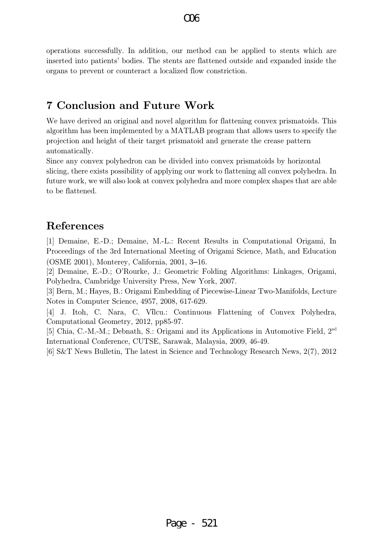operations successfully. In addition, our method can be applied to stents which are inserted into patients' bodies. The stents are flattened outside and expanded inside the organs to prevent or counteract a localized flow constriction.

# 7 Conclusion and Future Work

We have derived an original and novel algorithm for flattening convex prismatoids. This algorithm has been implemented by a MATLAB program that allows users to specify the projection and height of their target prismatoid and generate the crease pattern automatically.

Since any convex polyhedron can be divided into convex prismatoids by horizontal slicing, there exists possibility of applying our work to flattening all convex polyhedra. In future work, we will also look at convex polyhedra and more complex shapes that are able to be flattened.

# References

[1] Demaine, E.-D.; Demaine, M.-L.: Recent Results in Computational Origami, In Proceedings of the 3rd International Meeting of Origami Science, Math, and Education (OSME 2001), Monterey, California, 2001, 3–16.

[2] Demaine, E.-D.; O'Rourke, J.: Geometric Folding Algorithms: Linkages, Origami, Polyhedra, Cambridge University Press, New York, 2007.

[3] Bern, M.; Hayes, B.: Origami Embedding of Piecewise-Linear Two-Manifolds, Lecture Notes in Computer Science, 4957, 2008, 617-629.

[4] J. Itoh, C. Nara, C. Vîlcu.: Continuous Flattening of Convex Polyhedra, Computational Geometry, 2012, pp85-97.

[5] Chia, C.-M.-M.; Debnath, S.: Origami and its Applications in Automotive Field, 2<sup>nd</sup> International Conference, CUTSE, Sarawak, Malaysia, 2009, 46-49.

[6] S&T News Bulletin, The latest in Science and Technology Research News, 2(7), 2012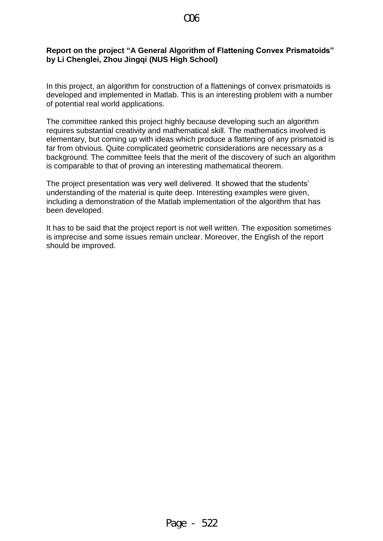#### **Report on the project "A General Algorithm of Flattening Convex Prismatoids" by Li Chenglei, Zhou Jingqi (NUS High School)**

In this project, an algorithm for construction of a flattenings of convex prismatoids is developed and implemented in Matlab. This is an interesting problem with a number of potential real world applications.

The committee ranked this project highly because developing such an algorithm requires substantial creativity and mathematical skill. The mathematics involved is elementary, but coming up with ideas which produce a flattening of any prismatoid is far from obvious. Quite complicated geometric considerations are necessary as a background. The committee feels that the merit of the discovery of such an algorithm is comparable to that of proving an interesting mathematical theorem.

The project presentation was very well delivered. It showed that the students' understanding of the material is quite deep. Interesting examples were given, including a demonstration of the Matlab implementation of the algorithm that has been developed.

It has to be said that the project report is not well written. The exposition sometimes is imprecise and some issues remain unclear. Moreover, the English of the report should be improved.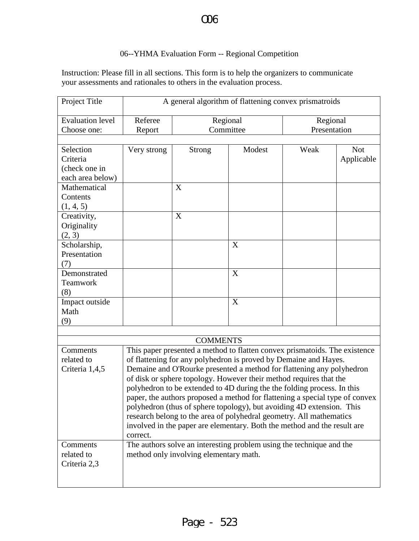### O C

#### 06--YHMA Evaluation Form -- Regional Competition

Instruction: Please fill in all sections. This form is to help the organizers to communicate your assessments and rationales to others in the evaluation process.

| Project Title           | A general algorithm of flattening convex prismatroids                        |               |           |              |            |  |  |  |
|-------------------------|------------------------------------------------------------------------------|---------------|-----------|--------------|------------|--|--|--|
| <b>Evaluation level</b> | Referee                                                                      | Regional      |           | Regional     |            |  |  |  |
| Choose one:             | Report                                                                       |               | Committee | Presentation |            |  |  |  |
|                         |                                                                              |               |           |              |            |  |  |  |
| Selection               | Very strong                                                                  | <b>Strong</b> | Modest    | Weak         | <b>Not</b> |  |  |  |
| Criteria                |                                                                              |               |           |              | Applicable |  |  |  |
| (check one in           |                                                                              |               |           |              |            |  |  |  |
| each area below)        |                                                                              |               |           |              |            |  |  |  |
| Mathematical            |                                                                              | X             |           |              |            |  |  |  |
| Contents                |                                                                              |               |           |              |            |  |  |  |
| (1, 4, 5)               |                                                                              |               |           |              |            |  |  |  |
| Creativity,             |                                                                              | X             |           |              |            |  |  |  |
| Originality             |                                                                              |               |           |              |            |  |  |  |
| (2, 3)                  |                                                                              |               |           |              |            |  |  |  |
| Scholarship,            |                                                                              |               | X         |              |            |  |  |  |
| Presentation            |                                                                              |               |           |              |            |  |  |  |
| (7)                     |                                                                              |               |           |              |            |  |  |  |
| Demonstrated            |                                                                              |               | X         |              |            |  |  |  |
| Teamwork                |                                                                              |               |           |              |            |  |  |  |
| (8)                     |                                                                              |               |           |              |            |  |  |  |
| Impact outside          |                                                                              |               | X         |              |            |  |  |  |
| Math                    |                                                                              |               |           |              |            |  |  |  |
| (9)                     |                                                                              |               |           |              |            |  |  |  |
|                         |                                                                              |               |           |              |            |  |  |  |
| <b>COMMENTS</b>         |                                                                              |               |           |              |            |  |  |  |
| Comments                | This paper presented a method to flatten convex prismatoids. The existence   |               |           |              |            |  |  |  |
| related to              | of flattening for any polyhedron is proved by Demaine and Hayes.             |               |           |              |            |  |  |  |
| Criteria 1,4,5          | Demaine and O'Rourke presented a method for flattening any polyhedron        |               |           |              |            |  |  |  |
|                         | of disk or sphere topology. However their method requires that the           |               |           |              |            |  |  |  |
|                         | polyhedron to be extended to 4D during the the folding process. In this      |               |           |              |            |  |  |  |
|                         | paper, the authors proposed a method for flattening a special type of convex |               |           |              |            |  |  |  |
|                         | polyhedron (thus of sphere topology), but avoiding 4D extension. This        |               |           |              |            |  |  |  |
|                         | research belong to the area of polyhedral geometry. All mathematics          |               |           |              |            |  |  |  |
|                         | involved in the paper are elementary. Both the method and the result are     |               |           |              |            |  |  |  |
|                         | correct.                                                                     |               |           |              |            |  |  |  |
| Comments                | The authors solve an interesting problem using the technique and the         |               |           |              |            |  |  |  |
| related to              | method only involving elementary math.                                       |               |           |              |            |  |  |  |
| Criteria 2,3            |                                                                              |               |           |              |            |  |  |  |
|                         |                                                                              |               |           |              |            |  |  |  |
|                         |                                                                              |               |           |              |            |  |  |  |